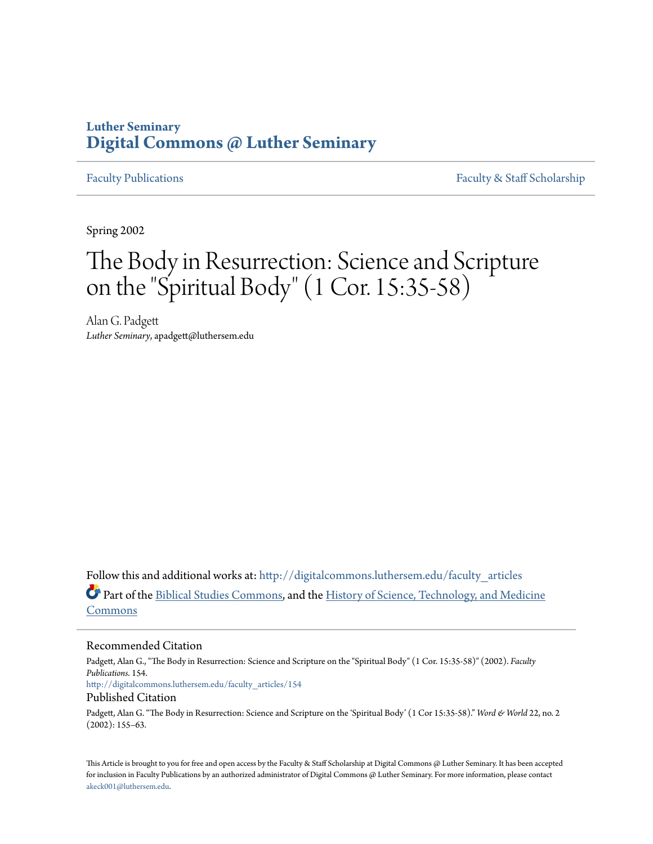## **Luther Seminary [Digital Commons @ Luther Seminary](http://digitalcommons.luthersem.edu?utm_source=digitalcommons.luthersem.edu%2Ffaculty_articles%2F154&utm_medium=PDF&utm_campaign=PDFCoverPages)**

[Faculty Publications](http://digitalcommons.luthersem.edu/faculty_articles?utm_source=digitalcommons.luthersem.edu%2Ffaculty_articles%2F154&utm_medium=PDF&utm_campaign=PDFCoverPages) [Faculty & Staff Scholarship](http://digitalcommons.luthersem.edu/faculty_staff?utm_source=digitalcommons.luthersem.edu%2Ffaculty_articles%2F154&utm_medium=PDF&utm_campaign=PDFCoverPages)

Spring 2002

# The Body in Resurrection: Science and Scripture on the "Spiritual Body" (1 Cor. 15:35-58)

Alan G. Padgett *Luther Seminary*, apadgett@luthersem.edu

Follow this and additional works at: [http://digitalcommons.luthersem.edu/faculty\\_articles](http://digitalcommons.luthersem.edu/faculty_articles?utm_source=digitalcommons.luthersem.edu%2Ffaculty_articles%2F154&utm_medium=PDF&utm_campaign=PDFCoverPages) Part of the [Biblical Studies Commons,](http://network.bepress.com/hgg/discipline/539?utm_source=digitalcommons.luthersem.edu%2Ffaculty_articles%2F154&utm_medium=PDF&utm_campaign=PDFCoverPages) and the [History of Science, Technology, and Medicine](http://network.bepress.com/hgg/discipline/500?utm_source=digitalcommons.luthersem.edu%2Ffaculty_articles%2F154&utm_medium=PDF&utm_campaign=PDFCoverPages) [Commons](http://network.bepress.com/hgg/discipline/500?utm_source=digitalcommons.luthersem.edu%2Ffaculty_articles%2F154&utm_medium=PDF&utm_campaign=PDFCoverPages)

### Recommended Citation

Padgett, Alan G., "The Body in Resurrection: Science and Scripture on the "Spiritual Body" (1 Cor. 15:35-58)" (2002). *Faculty Publications*. 154. [http://digitalcommons.luthersem.edu/faculty\\_articles/154](http://digitalcommons.luthersem.edu/faculty_articles/154?utm_source=digitalcommons.luthersem.edu%2Ffaculty_articles%2F154&utm_medium=PDF&utm_campaign=PDFCoverPages) Published Citation

Padgett, Alan G. "The Body in Resurrection: Science and Scripture on the 'Spiritual Body' (1 Cor 15:35-58)." *Word & World* 22, no. 2 (2002): 155–63.

This Article is brought to you for free and open access by the Faculty & Staff Scholarship at Digital Commons @ Luther Seminary. It has been accepted for inclusion in Faculty Publications by an authorized administrator of Digital Commons @ Luther Seminary. For more information, please contact [akeck001@luthersem.edu.](mailto:akeck001@luthersem.edu)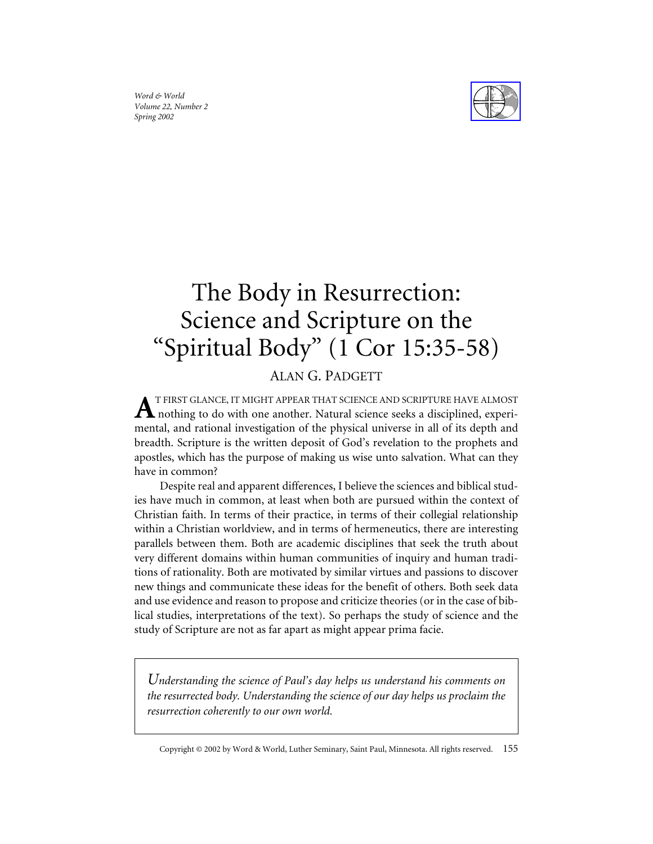*Word & World Volume 22, Number 2 Spring 2002*



## The Body in Resurrection: Science and Scripture on the "Spiritual Body" (1 Cor 15:35-58)

## ALAN G. PADGETT

T FIRST GLANCE, IT MIGHT APPEAR THAT SCIENCE AND SCRIPTURE HAVE ALMOST  $\boldsymbol{\Lambda}$  nothing to do with one another. Natural science seeks a disciplined, experimental, and rational investigation of the physical universe in all of its depth and breadth. Scripture is the written deposit of God's revelation to the prophets and apostles, which has the purpose of making us wise unto salvation. What can they have in common?

Despite real and apparent differences, I believe the sciences and biblical studies have much in common, at least when both are pursued within the context of Christian faith. In terms of their practice, in terms of their collegial relationship within a Christian worldview, and in terms of hermeneutics, there are interesting parallels between them. Both are academic disciplines that seek the truth about very different domains within human communities of inquiry and human traditions of rationality. Both are motivated by similar virtues and passions to discover new things and communicate these ideas for the benefit of others. Both seek data and use evidence and reason to propose and criticize theories (or in the case of biblical studies, interpretations of the text). So perhaps the study of science and the study of Scripture are not as far apart as might appear prima facie.

*Understanding the science of Paul's day helps us understand his comments on the resurrected body. Understanding the science of our day helps us proclaim the resurrection coherently to our own world.*

Copyright © 2002 by Word & World, Luther Seminary, Saint Paul, Minnesota. All rights reserved. 155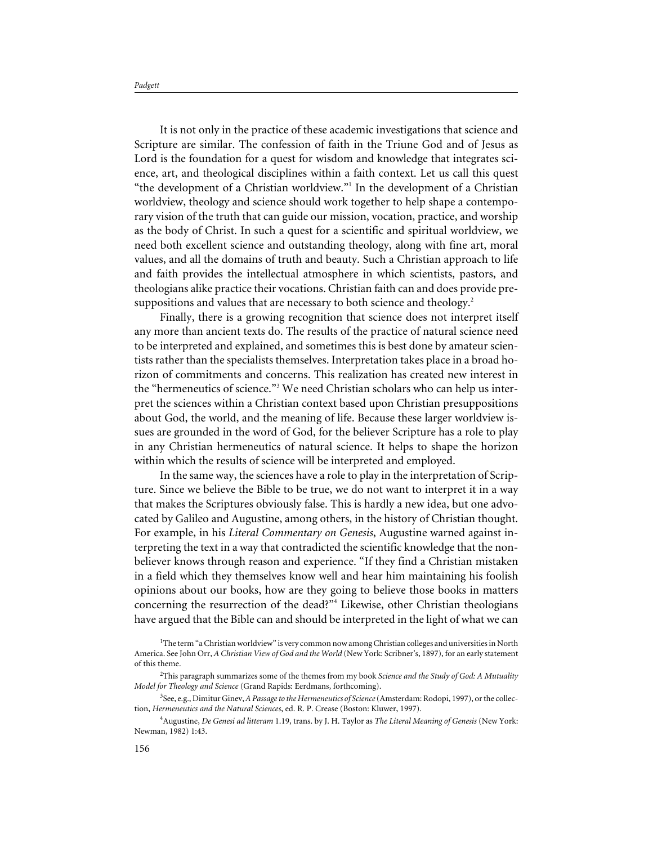It is not only in the practice of these academic investigations that science and Scripture are similar. The confession of faith in the Triune God and of Jesus as Lord is the foundation for a quest for wisdom and knowledge that integrates science, art, and theological disciplines within a faith context. Let us call this quest "the development of a Christian worldview."1 In the development of a Christian worldview, theology and science should work together to help shape a contemporary vision of the truth that can guide our mission, vocation, practice, and worship as the body of Christ. In such a quest for a scientific and spiritual worldview, we need both excellent science and outstanding theology, along with fine art, moral values, and all the domains of truth and beauty. Such a Christian approach to life and faith provides the intellectual atmosphere in which scientists, pastors, and theologians alike practice their vocations. Christian faith can and does provide presuppositions and values that are necessary to both science and theology.<sup>2</sup>

Finally, there is a growing recognition that science does not interpret itself any more than ancient texts do. The results of the practice of natural science need to be interpreted and explained, and sometimes this is best done by amateur scientists rather than the specialists themselves. Interpretation takes place in a broad horizon of commitments and concerns. This realization has created new interest in the "hermeneutics of science."<sup>3</sup> We need Christian scholars who can help us interpret the sciences within a Christian context based upon Christian presuppositions about God, the world, and the meaning of life. Because these larger worldview issues are grounded in the word of God, for the believer Scripture has a role to play in any Christian hermeneutics of natural science. It helps to shape the horizon within which the results of science will be interpreted and employed.

In the same way, the sciences have a role to play in the interpretation of Scripture. Since we believe the Bible to be true, we do not want to interpret it in a way that makes the Scriptures obviously false. This is hardly a new idea, but one advocated by Galileo and Augustine, among others, in the history of Christian thought. For example, in his *Literal Commentary on Genesis*, Augustine warned against interpreting the text in a way that contradicted the scientific knowledge that the nonbeliever knows through reason and experience. "If they find a Christian mistaken in a field which they themselves know well and hear him maintaining his foolish opinions about our books, how are they going to believe those books in matters concerning the resurrection of the dead?"4 Likewise, other Christian theologians have argued that the Bible can and should be interpreted in the light of what we can

<sup>&</sup>lt;sup>1</sup>The term "a Christian worldview" is very common now among Christian colleges and universities in North America. See John Orr, *A Christian View of God and the World* (New York: Scribner's, 1897), for an early statement of this theme.

<sup>2</sup> This paragraph summarizes some of the themes from my book *Science and the Study of God: A Mutuality Model for Theology and Science* (Grand Rapids: Eerdmans, forthcoming).

<sup>3</sup> See, e.g., Dimitur Ginev,*A Passage to the Hermeneutics of Science*(Amsterdam: Rodopi, 1997), or the collection, *Hermeneutics and the Natural Sciences*, ed. R. P. Crease (Boston: Kluwer, 1997).

<sup>4</sup> Augustine, *De Genesi ad litteram* 1.19, trans. by J. H. Taylor as *The Literal Meaning of Genesis* (New York: Newman, 1982) 1:43.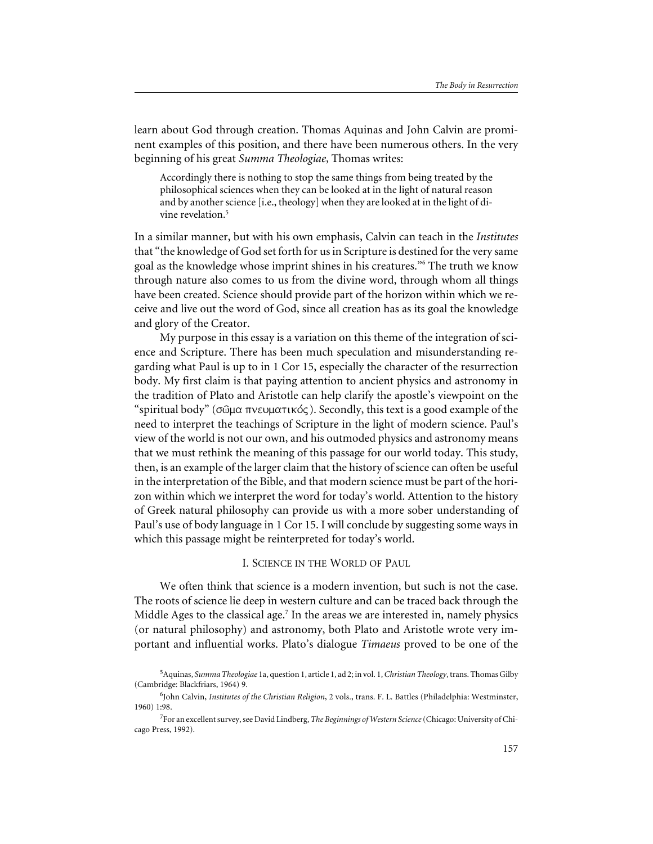learn about God through creation. Thomas Aquinas and John Calvin are prominent examples of this position, and there have been numerous others. In the very beginning of his great *Summa Theologiae*, Thomas writes:

Accordingly there is nothing to stop the same things from being treated by the philosophical sciences when they can be looked at in the light of natural reason and by another science [i.e., theology] when they are looked at in the light of divine revelation.<sup>5</sup>

In a similar manner, but with his own emphasis, Calvin can teach in the *Institutes* that "the knowledge of God set forth for us in Scripture is destined for the very same goal as the knowledge whose imprint shines in his creatures."6 The truth we know through nature also comes to us from the divine word, through whom all things have been created. Science should provide part of the horizon within which we receive and live out the word of God, since all creation has as its goal the knowledge and glory of the Creator.

My purpose in this essay is a variation on this theme of the integration of science and Scripture. There has been much speculation and misunderstanding regarding what Paul is up to in 1 Cor 15, especially the character of the resurrection body. My first claim is that paying attention to ancient physics and astronomy in the tradition of Plato and Aristotle can help clarify the apostle's viewpoint on the "spiritual body" ( $\sigma\omega\mu\alpha\pi\nu\epsilon\omega\mu\alpha\tau\iota\kappa\acute{o}c$ ). Secondly, this text is a good example of the need to interpret the teachings of Scripture in the light of modern science. Paul's view of the world is not our own, and his outmoded physics and astronomy means that we must rethink the meaning of this passage for our world today. This study, then, is an example of the larger claim that the history of science can often be useful in the interpretation of the Bible, and that modern science must be part of the horizon within which we interpret the word for today's world. Attention to the history of Greek natural philosophy can provide us with a more sober understanding of Paul's use of body language in 1 Cor 15. I will conclude by suggesting some ways in which this passage might be reinterpreted for today's world.

### I. SCIENCE IN THE WORLD OF PAUL

We often think that science is a modern invention, but such is not the case. The roots of science lie deep in western culture and can be traced back through the Middle Ages to the classical age.<sup>7</sup> In the areas we are interested in, namely physics (or natural philosophy) and astronomy, both Plato and Aristotle wrote very important and influential works. Plato's dialogue *Timaeus* proved to be one of the

<sup>5</sup> Aquinas, *Summa Theologiae* 1a, question 1, article 1, ad 2; in vol. 1,*Christian Theology*, trans. Thomas Gilby (Cambridge: Blackfriars, 1964) 9.

<sup>6</sup> John Calvin, *Institutes of the Christian Religion*, 2 vols., trans. F. L. Battles (Philadelphia: Westminster, 1960) 1:98.

<sup>7</sup> For an excellent survey, see David Lindberg, *The Beginnings of Western Science*(Chicago: University of Chicago Press, 1992).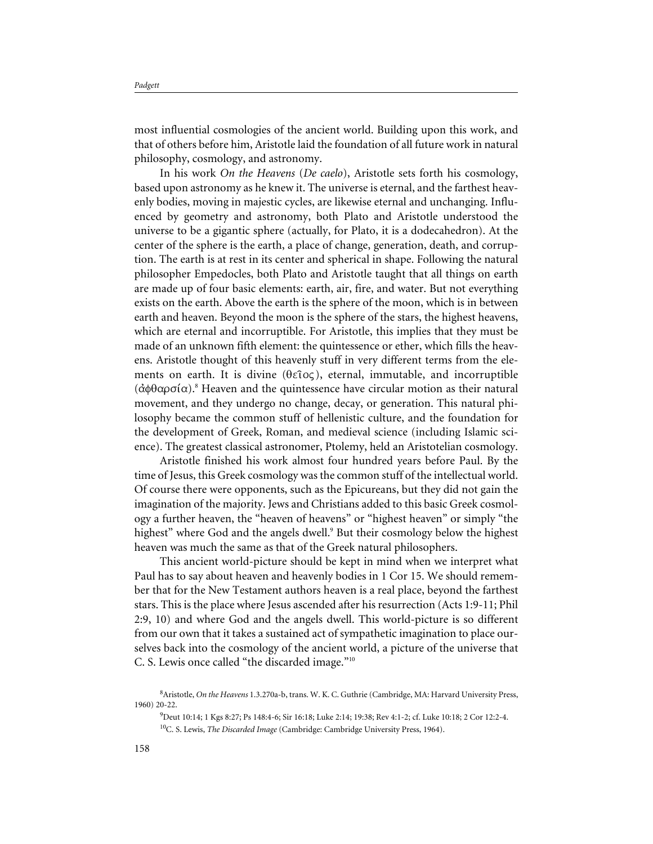most influential cosmologies of the ancient world. Building upon this work, and that of others before him, Aristotle laid the foundation of all future work in natural philosophy, cosmology, and astronomy.

In his work *On the Heavens* (*De caelo*), Aristotle sets forth his cosmology, based upon astronomy as he knew it. The universe is eternal, and the farthest heavenly bodies, moving in majestic cycles, are likewise eternal and unchanging. Influenced by geometry and astronomy, both Plato and Aristotle understood the universe to be a gigantic sphere (actually, for Plato, it is a dodecahedron). At the center of the sphere is the earth, a place of change, generation, death, and corruption. The earth is at rest in its center and spherical in shape. Following the natural philosopher Empedocles, both Plato and Aristotle taught that all things on earth are made up of four basic elements: earth, air, fire, and water. But not everything exists on the earth. Above the earth is the sphere of the moon, which is in between earth and heaven. Beyond the moon is the sphere of the stars, the highest heavens, which are eternal and incorruptible. For Aristotle, this implies that they must be made of an unknown fifth element: the quintessence or ether, which fills the heavens. Aristotle thought of this heavenly stuff in very different terms from the elements on earth. It is divine ( $\theta \in \partial \infty$ ), eternal, immutable, and incorruptible  $(d\phi\theta\alpha\rho\sigma\alpha)$ .<sup>8</sup> Heaven and the quintessence have circular motion as their natural movement, and they undergo no change, decay, or generation. This natural philosophy became the common stuff of hellenistic culture, and the foundation for the development of Greek, Roman, and medieval science (including Islamic science). The greatest classical astronomer, Ptolemy, held an Aristotelian cosmology.

Aristotle finished his work almost four hundred years before Paul. By the time of Jesus, this Greek cosmology was the common stuff of the intellectual world. Of course there were opponents, such as the Epicureans, but they did not gain the imagination of the majority. Jews and Christians added to this basic Greek cosmology a further heaven, the "heaven of heavens" or "highest heaven" or simply "the highest" where God and the angels dwell.<sup>9</sup> But their cosmology below the highest heaven was much the same as that of the Greek natural philosophers.

This ancient world-picture should be kept in mind when we interpret what Paul has to say about heaven and heavenly bodies in 1 Cor 15. We should remember that for the New Testament authors heaven is a real place, beyond the farthest stars. This is the place where Jesus ascended after his resurrection (Acts 1:9-11; Phil 2:9, 10) and where God and the angels dwell. This world-picture is so different from our own that it takes a sustained act of sympathetic imagination to place ourselves back into the cosmology of the ancient world, a picture of the universe that C. S. Lewis once called "the discarded image."10

<sup>8</sup> Aristotle, *On the Heavens* 1.3.270a-b, trans. W. K. C. Guthrie (Cambridge, MA: Harvard University Press, 1960) 20-22.

<sup>9</sup> Deut 10:14; 1 Kgs 8:27; Ps 148:4-6; Sir 16:18; Luke 2:14; 19:38; Rev 4:1-2; cf. Luke 10:18; 2 Cor 12:2-4. 10C. S. Lewis, *The Discarded Image* (Cambridge: Cambridge University Press, 1964).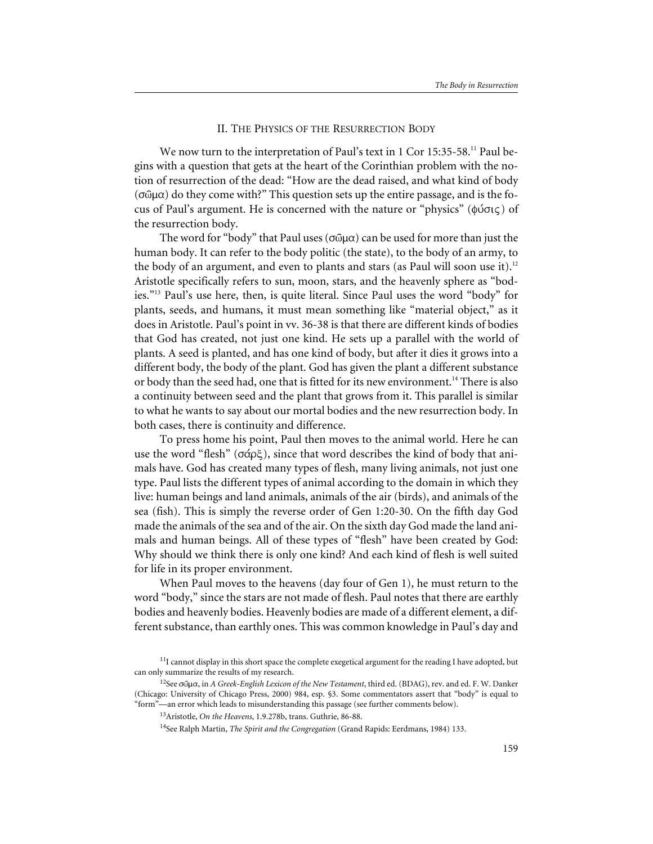## II. THE PHYSICS OF THE RESURRECTION BODY

We now turn to the interpretation of Paul's text in 1 Cor 15:35-58.<sup>11</sup> Paul begins with a question that gets at the heart of the Corinthian problem with the notion of resurrection of the dead: "How are the dead raised, and what kind of body  $(\sigma \hat{\omega} \mu \alpha)$  do they come with?" This question sets up the entire passage, and is the focus of Paul's argument. He is concerned with the nature or "physics" ( $\phi$ ύσις) of the resurrection body.

The word for "body" that Paul uses ( $\sigma$ @ $\mu$  $\alpha$ ) can be used for more than just the human body. It can refer to the body politic (the state), to the body of an army, to the body of an argument, and even to plants and stars (as Paul will soon use it).<sup>12</sup> Aristotle specifically refers to sun, moon, stars, and the heavenly sphere as "bodies."13 Paul's use here, then, is quite literal. Since Paul uses the word "body" for plants, seeds, and humans, it must mean something like "material object," as it does in Aristotle. Paul's point in vv. 36-38 is that there are different kinds of bodies that God has created, not just one kind. He sets up a parallel with the world of plants. A seed is planted, and has one kind of body, but after it dies it grows into a different body, the body of the plant. God has given the plant a different substance or body than the seed had, one that is fitted for its new environment.<sup>14</sup> There is also a continuity between seed and the plant that grows from it. This parallel is similar to what he wants to say about our mortal bodies and the new resurrection body. In both cases, there is continuity and difference.

To press home his point, Paul then moves to the animal world. Here he can use the word "flesh" ( $\sigma \alpha \rho \xi$ ), since that word describes the kind of body that animals have. God has created many types of flesh, many living animals, not just one type. Paul lists the different types of animal according to the domain in which they live: human beings and land animals, animals of the air (birds), and animals of the sea (fish). This is simply the reverse order of Gen 1:20-30. On the fifth day God made the animals of the sea and of the air. On the sixth day God made the land animals and human beings. All of these types of "flesh" have been created by God: Why should we think there is only one kind? And each kind of flesh is well suited for life in its proper environment.

When Paul moves to the heavens (day four of Gen 1), he must return to the word "body," since the stars are not made of flesh. Paul notes that there are earthly bodies and heavenly bodies. Heavenly bodies are made of a different element, a different substance, than earthly ones. This was common knowledge in Paul's day and

<sup>&</sup>lt;sup>11</sup>I cannot display in this short space the complete exegetical argument for the reading I have adopted, but can only summarize the results of my research.

<sup>&</sup>lt;sup>12</sup>See σῶμα, in *A Greek-English Lexicon of the New Testament*, third ed. (BDAG), rev. and ed. F. W. Danker (Chicago: University of Chicago Press, 2000) 984, esp. §3. Some commentators assert that "body" is equal to "form"—an error which leads to misunderstanding this passage (see further comments below).

<sup>13</sup>Aristotle, *On the Heavens*, 1.9.278b, trans. Guthrie, 86-88.

<sup>14</sup>See Ralph Martin, *The Spirit and the Congregation* (Grand Rapids: Eerdmans, 1984) 133.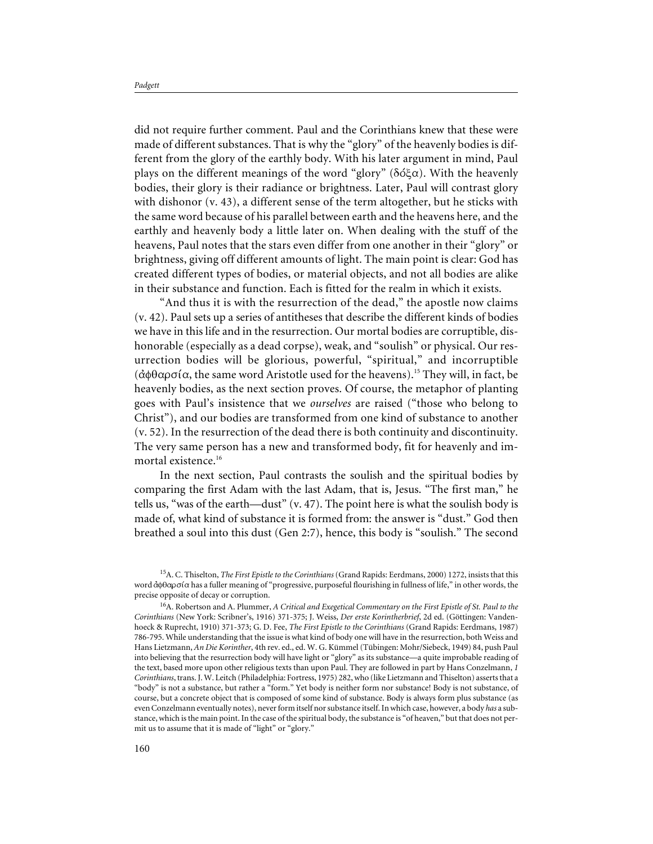did not require further comment. Paul and the Corinthians knew that these were made of different substances. That is why the "glory" of the heavenly bodies is different from the glory of the earthly body. With his later argument in mind, Paul plays on the different meanings of the word "glory" ( $\delta \acute{o} \xi \alpha$ ). With the heavenly bodies, their glory is their radiance or brightness. Later, Paul will contrast glory with dishonor (v. 43), a different sense of the term altogether, but he sticks with the same word because of his parallel between earth and the heavens here, and the earthly and heavenly body a little later on. When dealing with the stuff of the heavens, Paul notes that the stars even differ from one another in their "glory" or brightness, giving off different amounts of light. The main point is clear: God has created different types of bodies, or material objects, and not all bodies are alike in their substance and function. Each is fitted for the realm in which it exists.

"And thus it is with the resurrection of the dead," the apostle now claims (v. 42). Paul sets up a series of antitheses that describe the different kinds of bodies we have in this life and in the resurrection. Our mortal bodies are corruptible, dishonorable (especially as a dead corpse), weak, and "soulish" or physical. Our resurrection bodies will be glorious, powerful, "spiritual," and incorruptible  $(d\phi\theta\alpha\rho\sigma\alpha)$ , the same word Aristotle used for the heavens).<sup>15</sup> They will, in fact, be heavenly bodies, as the next section proves. Of course, the metaphor of planting goes with Paul's insistence that we *ourselves* are raised ("those who belong to Christ"), and our bodies are transformed from one kind of substance to another (v. 52). In the resurrection of the dead there is both continuity and discontinuity. The very same person has a new and transformed body, fit for heavenly and immortal existence.<sup>16</sup>

In the next section, Paul contrasts the soulish and the spiritual bodies by comparing the first Adam with the last Adam, that is, Jesus. "The first man," he tells us, "was of the earth—dust" (v. 47). The point here is what the soulish body is made of, what kind of substance it is formed from: the answer is "dust." God then breathed a soul into this dust (Gen 2:7), hence, this body is "soulish." The second

<sup>15</sup>A. C. Thiselton, *The First Epistle to the Corinthians*(Grand Rapids: Eerdmans, 2000) 1272, insists that this word  $\dot{\alpha}$  $\dot{\beta}$  $\alpha$  has a fuller meaning of "progressive, purposeful flourishing in fullness of life," in other words, the precise opposite of decay or corruption.

<sup>16</sup>A. Robertson and A. Plummer, *A Critical and Exegetical Commentary on the First Epistle of St. Paul to the Corinthians* (New York: Scribner's, 1916) 371-375; J. Weiss, *Der erste Korintherbrief*, 2d ed. (Göttingen: Vandenhoeck & Ruprecht, 1910) 371-373; G. D. Fee, *The First Epistle to the Corinthians* (Grand Rapids: Eerdmans, 1987) 786-795. While understanding that the issue is what kind of body one will have in the resurrection, both Weiss and Hans Lietzmann, *An Die Korinther*, 4th rev. ed., ed. W. G. Kümmel (Tübingen: Mohr/Siebeck, 1949) 84, push Paul into believing that the resurrection body will have light or "glory" as its substance—a quite improbable reading of the text, based more upon other religious texts than upon Paul. They are followed in part by Hans Conzelmann, *1 Corinthians*, trans. J. W. Leitch (Philadelphia: Fortress, 1975) 282, who (like Lietzmann and Thiselton) asserts that a "body" is not a substance, but rather a "form." Yet body is neither form nor substance! Body is not substance, of course, but a concrete object that is composed of some kind of substance. Body is always form plus substance (as even Conzelmann eventually notes), never form itself nor substance itself. In which case, however, a body *has* a substance, which is the main point. In the case of the spiritual body, the substance is "of heaven," but that does not permit us to assume that it is made of "light" or "glory."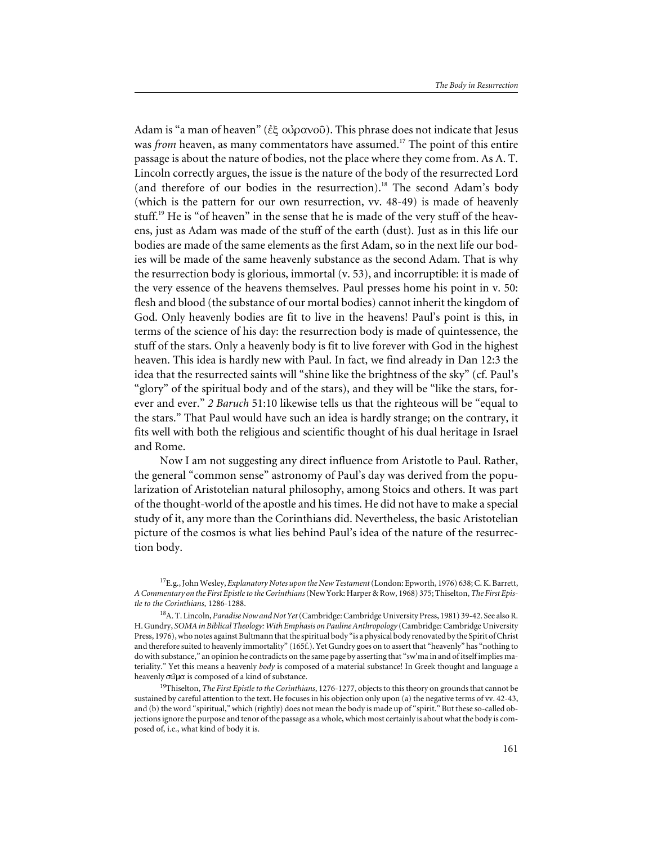Adam is "a man of heaven" ( $\xi \xi$  o $\theta$   $\alpha$ vo $\theta$ ). This phrase does not indicate that Jesus was *from* heaven, as many commentators have assumed.<sup>17</sup> The point of this entire passage is about the nature of bodies, not the place where they come from. As A. T. Lincoln correctly argues, the issue is the nature of the body of the resurrected Lord (and therefore of our bodies in the resurrection).<sup>18</sup> The second Adam's body (which is the pattern for our own resurrection, vv. 48-49) is made of heavenly stuff.<sup>19</sup> He is "of heaven" in the sense that he is made of the very stuff of the heavens, just as Adam was made of the stuff of the earth (dust). Just as in this life our bodies are made of the same elements as the first Adam, so in the next life our bodies will be made of the same heavenly substance as the second Adam. That is why the resurrection body is glorious, immortal (v. 53), and incorruptible: it is made of the very essence of the heavens themselves. Paul presses home his point in v. 50: flesh and blood (the substance of our mortal bodies) cannot inherit the kingdom of God. Only heavenly bodies are fit to live in the heavens! Paul's point is this, in terms of the science of his day: the resurrection body is made of quintessence, the stuff of the stars. Only a heavenly body is fit to live forever with God in the highest heaven. This idea is hardly new with Paul. In fact, we find already in Dan 12:3 the idea that the resurrected saints will "shine like the brightness of the sky" (cf. Paul's "glory" of the spiritual body and of the stars), and they will be "like the stars, forever and ever." *2 Baruch* 51:10 likewise tells us that the righteous will be "equal to the stars." That Paul would have such an idea is hardly strange; on the contrary, it fits well with both the religious and scientific thought of his dual heritage in Israel and Rome.

Now I am not suggesting any direct influence from Aristotle to Paul. Rather, the general "common sense" astronomy of Paul's day was derived from the popularization of Aristotelian natural philosophy, among Stoics and others. It was part of the thought-world of the apostle and his times. He did not have to make a special study of it, any more than the Corinthians did. Nevertheless, the basic Aristotelian picture of the cosmos is what lies behind Paul's idea of the nature of the resurrection body.

<sup>17</sup>E.g., John Wesley, *Explanatory Notes upon the New Testament*(London: Epworth, 1976) 638; C. K. Barrett, *A Commentary on the First Epistle to the Corinthians*(New York: Harper & Row, 1968) 375; Thiselton, *The First Epistle to the Corinthians*, 1286-1288.

<sup>18</sup>A. T. Lincoln, *Paradise Now and Not Yet*(Cambridge: Cambridge University Press, 1981) 39-42. See also R. H. Gundry, *SOMA in Biblical Theology: With Emphasis on Pauline Anthropology* (Cambridge: Cambridge University Press, 1976), who notes against Bultmann that the spiritual body "is a physical body renovated by the Spirit of Christ and therefore suited to heavenly immortality" (165f.). Yet Gundry goes on to assert that "heavenly" has "nothing to do with substance," an opinion he contradicts on the same page by asserting that "sw'ma in and of itself implies materiality." Yet this means a heavenly *body* is composed of a material substance! In Greek thought and language a heavenly  $\sigma$   $\omega$  $\mu$  $\alpha$  is composed of a kind of substance.

<sup>19</sup>Thiselton, *The First Epistle to the Corinthians*, 1276-1277, objects to this theory on grounds that cannot be sustained by careful attention to the text. He focuses in his objection only upon (a) the negative terms of vv. 42-43, and (b) the word "spiritual," which (rightly) does not mean the body is made up of "spirit." But these so-called objections ignore the purpose and tenor of the passage as a whole, which most certainly is about what the body is composed of, i.e., what kind of body it is.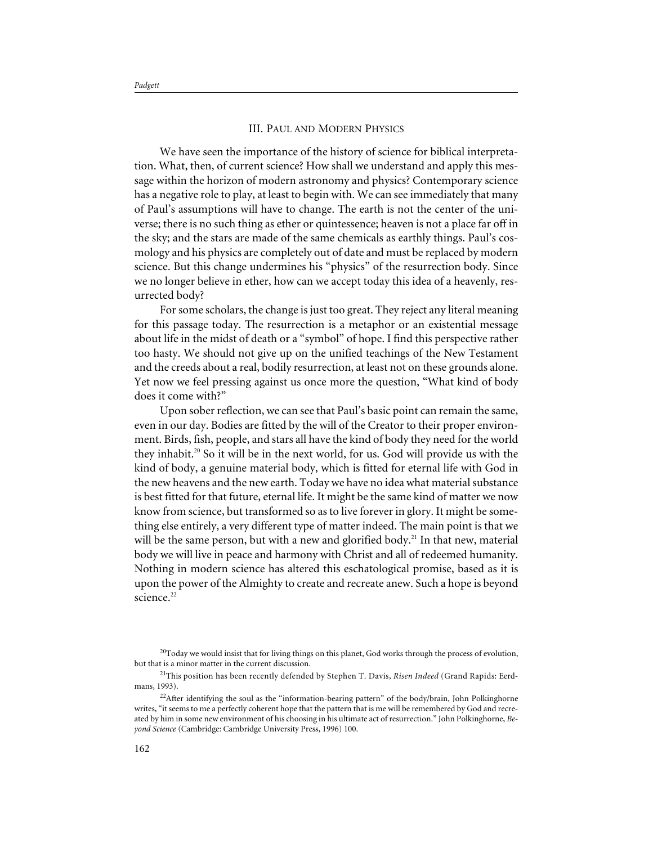*Padgett*

### III. PAUL AND MODERN PHYSICS

We have seen the importance of the history of science for biblical interpretation. What, then, of current science? How shall we understand and apply this message within the horizon of modern astronomy and physics? Contemporary science has a negative role to play, at least to begin with. We can see immediately that many of Paul's assumptions will have to change. The earth is not the center of the universe; there is no such thing as ether or quintessence; heaven is not a place far off in the sky; and the stars are made of the same chemicals as earthly things. Paul's cosmology and his physics are completely out of date and must be replaced by modern science. But this change undermines his "physics" of the resurrection body. Since we no longer believe in ether, how can we accept today this idea of a heavenly, resurrected body?

For some scholars, the change is just too great. They reject any literal meaning for this passage today. The resurrection is a metaphor or an existential message about life in the midst of death or a "symbol" of hope. I find this perspective rather too hasty. We should not give up on the unified teachings of the New Testament and the creeds about a real, bodily resurrection, at least not on these grounds alone. Yet now we feel pressing against us once more the question, "What kind of body does it come with?"

Upon sober reflection, we can see that Paul's basic point can remain the same, even in our day. Bodies are fitted by the will of the Creator to their proper environment. Birds, fish, people, and stars all have the kind of body they need for the world they inhabit.<sup>20</sup> So it will be in the next world, for us. God will provide us with the kind of body, a genuine material body, which is fitted for eternal life with God in the new heavens and the new earth. Today we have no idea what material substance is best fitted for that future, eternal life. It might be the same kind of matter we now know from science, but transformed so as to live forever in glory. It might be something else entirely, a very different type of matter indeed. The main point is that we will be the same person, but with a new and glorified body.<sup>21</sup> In that new, material body we will live in peace and harmony with Christ and all of redeemed humanity. Nothing in modern science has altered this eschatological promise, based as it is upon the power of the Almighty to create and recreate anew. Such a hope is beyond science.<sup>22</sup>

 $20T$ oday we would insist that for living things on this planet, God works through the process of evolution, but that is a minor matter in the current discussion.

<sup>21</sup>This position has been recently defended by Stephen T. Davis, *Risen Indeed* (Grand Rapids: Eerdmans, 1993).

<sup>&</sup>lt;sup>22</sup>After identifying the soul as the "information-bearing pattern" of the body/brain, John Polkinghorne writes, "it seems to me a perfectly coherent hope that the pattern that is me will be remembered by God and recreated by him in some new environment of his choosing in his ultimate act of resurrection." John Polkinghorne, *Beyond Science* (Cambridge: Cambridge University Press, 1996) 100.